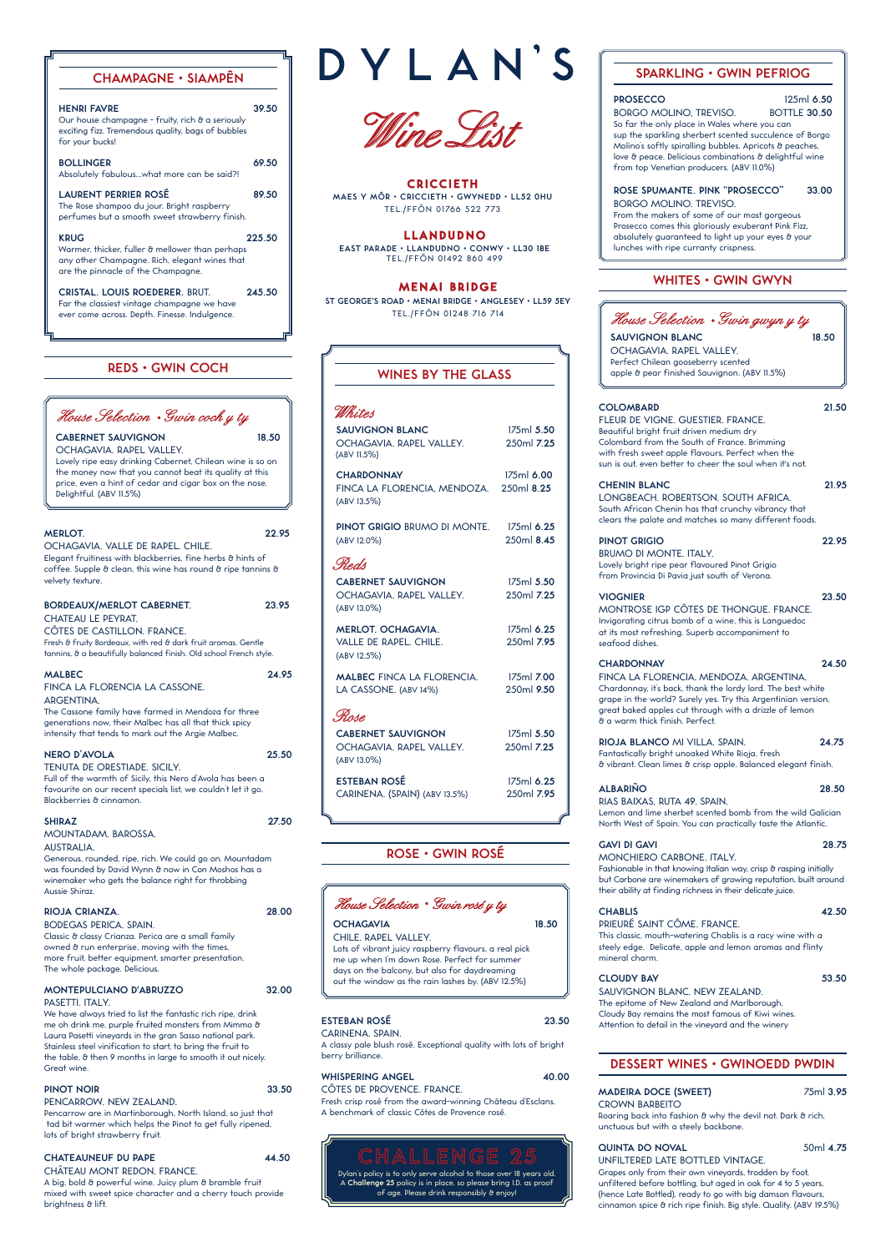# **WHITES • GWIN GWYN**



**SAUVIGNON BLANC 18.50** OCHAGAVIA. RAPEL VALLEY. Perfect Chilean gooseberry scented apple & pear finished Sauvignon. (ABV 11.5%)

#### **COLOMBARD 21.50**

FLEUR DE VIGNE. GUESTIER. FRANCE. Beautiful bright fruit driven medium dry Colombard from the South of France. Brimming with fresh sweet apple flavours. Perfect when the sun is out, even better to cheer the soul when it's not.

PINOT GRIGIO 22.95 BRUMO DI MONTE. ITALY. Lovely bright ripe pear flavoured Pinot Grigio from Provincia Di Pavia just south of Verona.

## **CHENIN BLANC 21.95**

LONGBEACH. ROBERTSON. SOUTH AFRICA. South African Chenin has that crunchy vibrancy that clears the palate and matches so many different foods.

## **VIOGNIER 23.50**

MONTROSE IGP CÔTES DE THONGUE. FRANCE.

Invigorating citrus bomb of a wine, this is Languedoc at its most refreshing. Superb accompaniment to seafood dishes.

#### **CHARDONNAY 24.50**

FINCA LA FLORENCIA. MENDOZA. ARGENTINA. Chardonnay, it's back, thank the lordy lord. The best white grape in the world? Surely yes. Try this Argentinian version, great baked apples cut through with a drizzle of lemon & a warm thick finish. Perfect.

**RIOJA BLANCO** MI VILLA. SPAIN. **24.75** Fantastically bright unoaked White Rioja, fresh & vibrant. Clean limes & crisp apple. Balanced elegant finish.

| <b>ALBARINO</b>                                              | 28.50 |
|--------------------------------------------------------------|-------|
| RIAS BAIXAS. RUTA 49. SPAIN.                                 |       |
| Lemon and lime sherbet scented bomb from the wild Galician   |       |
| North West of Spain. You can practically taste the Atlantic. |       |

Roaring back into fashion & why the devil not. Dark & rich, unctuous but with a steely backbone.

# **QUINTA DO NOVAL** 50ml 4.75

# **GAVI DI GAVI 28.75**

MONCHIERO CARBONE. ITALY. Fashionable in that knowing Italian way, crisp & rasping initially but Carbone are winemakers of growing reputation, built around their ability at finding richness in their delicate juice.

#### **CHABLIS 42.50** PRIEURÉ SAINT CÔME. FRANCE.

This classic, mouth-watering Chablis is a racy wine with a steely edge. Delicate, apple and lemon aromas and flinty mineral charm.

#### **CLOUDY BAY 53.50**

House Selection • Gwin rosé y ty **OCHAGAVIA 18.50** 

SAUVIGNON BLANC. NEW ZEALAND. The epitome of New Zealand and Marlborough, Cloudy Bay remains the most famous of Kiwi wines. Attention to detail in the vineyard and the winery

| <b>SAUVIGNON BLANC</b><br>OCHAGAVIA, RAPEL VALLEY,<br>(ABV 11.5%)                                                                     | 175ml 5.50<br>250ml 7.25                             |
|---------------------------------------------------------------------------------------------------------------------------------------|------------------------------------------------------|
| <b>CHARDONNAY</b><br>FINCA LA FLORENCIA, MENDOZA.<br>(ABV 13.5%)                                                                      | 175ml 6.00<br>250ml 8.25                             |
| PINOT GRIGIO BRUMO DI MONTE.<br>(ABV 12.0%)                                                                                           | 175ml 6.25<br>250ml 8.45                             |
| Reds<br><b>CABERNET SAUVIGNON</b><br>OCHAGAVIA, RAPEL VALLEY.<br>(ABV 13.0%)                                                          | 175ml 5.50<br>250ml 7.25                             |
| <b>MERLOT, OCHAGAVIA.</b><br>VALLE DE RAPEL. CHILE.<br>(ABV 12.5%)                                                                    | 175ml 6.25<br>250ml 7.95                             |
| <b>MALBEC FINCA LA FLORENCIA.</b><br>LA CASSONE. (ABV 14%)                                                                            | 175ml 7.00<br>250ml 9.50                             |
| Rose.<br><b>CABERNET SAUVIGNON</b><br>OCHAGAVIA, RAPEL VALLEY.<br>(ABV 13.0%)<br><b>ESTEBAN ROSÉ</b><br>CARINENA. (SPAIN) (ABV 13.5%) | 175ml 5.50<br>250ml 7.25<br>175ml 6.25<br>250ml 7.95 |
|                                                                                                                                       | a                                                    |

CABERNET SAUVIGNON 18.50 OCHAGAVIA. RAPEL VALLEY. Lovely ripe easy drinking Cabernet, Chilean wine is so on the money now that you cannot beat its quality at this price, even a hint of cedar and cigar box on the nose. Delightful. (ABV 11.5%)

# **ROSE • GWIN ROSÉ**

## **MADEIRA DOCE (SWEET)** 75ml **3.95**

## CROWN BARBEITO

## UNFILTERED LATE BOTTLED VINTAGE.

iker who gets the balance right for throbbing Aussie Shiraz.

> Grapes only from their own vineyards, trodden by foot, unfiltered before bottling, but aged in oak for 4 to 5 years, (hence Late Bottled), ready to go with big damson flavours, cinnamon spice & rich ripe finish. Big style. Quality. (ABV 19.5%)

We have always tried to list the fantastic rich ripe, drink me oh drink me, purple fruited monsters from Mimmo & Laura Pasetti vineyards in the gran Sasso national park. Stainless steel vinification to start, to bring the fruit to the table, & then 9 months in large to smooth it out nicely. Great wine.

A big, bold & powerful wine. Juicy plum & bramble fruit mixed with sweet spice character and a cherry touch provide brightness & lift.

| <b>HENRI FAVRE</b><br>Our house champagne - fruity, rich & a seriously<br>exciting fizz. Tremendous quality, bags of bubbles<br>for your bucks!       | 39.50  |
|-------------------------------------------------------------------------------------------------------------------------------------------------------|--------|
| <b>BOLLINGER</b><br>Absolutely fabulouswhat more can be said?!                                                                                        | 69.50  |
| <b>LAURENT PERRIER ROSÉ</b><br>The Rose shampoo du jour. Bright raspberry<br>perfumes but a smooth sweet strawberry finish.                           | 89.50  |
| <b>KRUG</b><br>Warmer, thicker, fuller & mellower than perhaps<br>any other Champagne. Rich, elegant wines that<br>are the pinnacle of the Champagne. | 225.50 |
| <b>CRISTAL, LOUIS ROEDERER, BRUT.</b><br>Far the classiest vintage champagne we have<br>ever come across. Depth. Finesse. Indulgence.                 | 245.50 |

# **REDS • GWIN COCH WINES BY THE GLASS**

House Selection . Swin coch y ty

**CRICCIETH MAES Y MÔR • CRICCIETH • GWYNEDD • LL52 0HU** TEL./FFÔN 01766 522 773

## **DESSERT WINES • GWINOEDD PWDIN**

#### CHILE. RAPEL VALLEY.

Lots of vibrant juicy raspberry flavours, a real pick me up when I'm down Rose. Perfect for summer days on the balcony, but also for daydreaming out the window as the rain lashes by. (ABV 12.5%)

#### **PROSECCO** 125ml **6.50**

BORGO MOLINO, TREVISO. BOTTLE **30.50**  So far the only place in Wales where you can sup the sparkling sherbert scented succulence of Borgo Molino's softly spiralling bubbles. Apricots & peaches, love & peace. Delicious combinations & delightful wine from top Venetian producers. (ABV 11.0%)

#### **ROSE SPUMANTE. PINK "PROSECCO" 33.00** BORGO MOLINO. TREVISO.

From the makers of some of our most gorgeous Prosecco comes this gloriously exuberant Pink Fizz, absolutely guaranteed to light up your eyes & your lunches with ripe curranty crispness.

**MERLOT. 22.95** OCHAGAVIA. VALLE DE RAPEL. CHILE. Elegant fruitiness with blackberries, fine herbs & hints of coffee. Supple  $\theta$  clean, this wine has round  $\theta$  ripe tannins  $\theta$ velvety texture.

| <b>BORDEAUX/MERLOT CABERNET.</b><br><b>CHATEAU LE PEYRAT.</b><br>CÔTES DE CASTILLON, FRANCE.<br>Fresh & fruity Bordeaux, with red & dark fruit aromas. Gentle<br>tannins, & a beautifully balanced finish. Old school French style.         | 23.95 |
|---------------------------------------------------------------------------------------------------------------------------------------------------------------------------------------------------------------------------------------------|-------|
| <b>MALBEC</b><br>FINCA LA FLORENCIA LA CASSONE.<br><b>ARGENTINA.</b><br>The Cassone family have farmed in Mendoza for three<br>generations now, their Malbec has all that thick spicy<br>intensity that tends to mark out the Argie Malbec. | 24.95 |
| <b>NERO D'AVOLA</b><br>TENUTA DE ORESTIADE, SICILY,<br>Full of the warmth of Sicily, this Nero d'Avola has been a<br>favourite on our recent specials list, we couldn't let it go.<br>Blackberries & cinnamon.                              | 25.50 |
| <b>SHIRAZ</b><br><b>MOUNTADAM, BAROSSA.</b><br><b>AUSTRALIA.</b><br>Generous, rounded, ripe, rich. We could go on. Mountadam                                                                                                                | 27.50 |
| was founded by David Wynn & now in Con Moshos has a<br>winomakor who gots the balance right for throbbing                                                                                                                                   |       |

#### **RIOJA CRIANZA. 28.00** BODEGAS PERICA. SPAIN.

# **CHAMPAGNE • SIAMPÊN DYLAN'S** FORAKLING • GWIN PEFRIOG

Wine Pist

Classic & classy Crianza. Perica are a small family owned & run enterprise, moving with the times, more fruit, better equipment, smarter presentation. The whole package. Delicious.

#### **MONTEPULCIANO D'ABRUZZO 32.00**  PASETTI. ITALY.

#### **PINOT NOIR 33.50**

#### PENCARROW. NEW ZEALAND.

Pencarrow are in Martinborough, North Island, so just that tad bit warmer which helps the Pinot to get fully ripened, lots of bright strawberry fruit.

#### CHATEAUNEUF DU PAPE 44.50

#### CHÂTEAU MONT REDON. FRANCE.

MENAI BRIDGE **ST GEORGE'S ROAD • MENAI BRIDGE • ANGLESEY • LL59 5EY**

TEL./FFÔN 01248 716 714

# Whites

## LLANDUDNO

**EAST PARADE • LLANDUDNO • CONWY • LL30 1BE** TEL./FFÔN 01492 860 499

**ESTEBAN ROSÉ 23.50**

#### CARINENA. SPAIN.

A classy pale blush rosé. Exceptional quality with lots of bright berry brilliance.

#### **WHISPERING ANGEL 40.00**

#### CÔTES DE PROVENCE. FRANCE.

Fresh crisp rosé from the award-winning Château d'Esclans. A benchmark of classic Côtes de Provence rosé.

Dylan's policy is to only serve alcohol to those over 18 years old. A **Challenge 25** policy is in place, so please bring I.D. as proof of age. Please drink responsibly & enjoy!